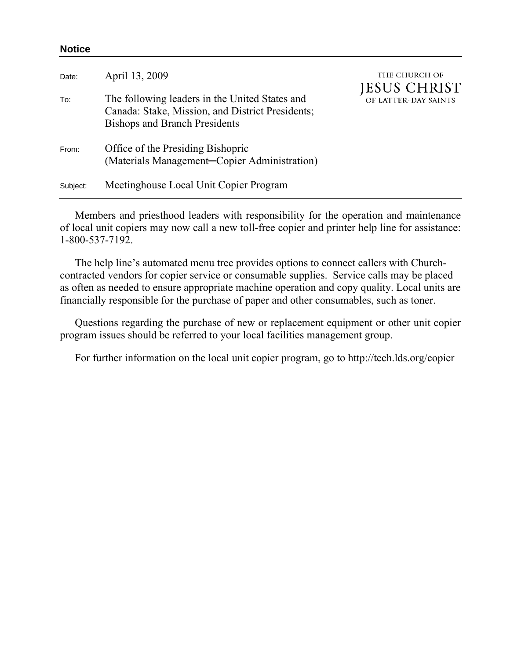| Date:    | April 13, 2009                                                                                                                             | THE CHURCH OF<br>JESUS CHRIST<br>OF LATTER-DAY SAINTS |
|----------|--------------------------------------------------------------------------------------------------------------------------------------------|-------------------------------------------------------|
| To:      | The following leaders in the United States and<br>Canada: Stake, Mission, and District Presidents;<br><b>Bishops and Branch Presidents</b> |                                                       |
| From:    | Office of the Presiding Bishopric<br>(Materials Management-Copier Administration)                                                          |                                                       |
| Subject: | Meetinghouse Local Unit Copier Program                                                                                                     |                                                       |

**Notice** 

Members and priesthood leaders with responsibility for the operation and maintenance of local unit copiers may now call a new toll-free copier and printer help line for assistance: 1-800-537-7192.

 The help line's automated menu tree provides options to connect callers with Churchcontracted vendors for copier service or consumable supplies. Service calls may be placed as often as needed to ensure appropriate machine operation and copy quality. Local units are financially responsible for the purchase of paper and other consumables, such as toner.

Questions regarding the purchase of new or replacement equipment or other unit copier program issues should be referred to your local facilities management group.

For further information on the local unit copier program, go to http://tech.lds.org/copier